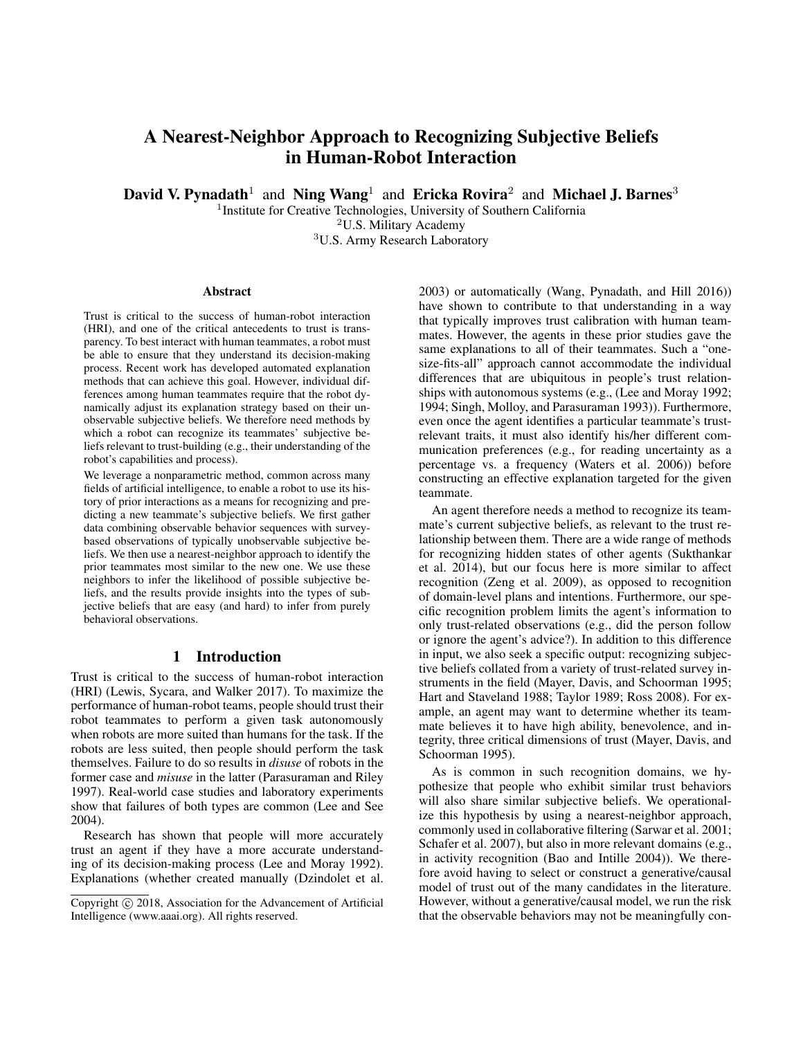# A Nearest-Neighbor Approach to Recognizing Subjective Beliefs in Human-Robot Interaction

David V. Pynadath<sup>1</sup> and Ning Wang<sup>1</sup> and Ericka Rovira<sup>2</sup> and Michael J. Barnes<sup>3</sup>

<sup>1</sup> Institute for Creative Technologies, University of Southern California

<sup>2</sup>U.S. Military Academy

<sup>3</sup>U.S. Army Research Laboratory

#### Abstract

Trust is critical to the success of human-robot interaction (HRI), and one of the critical antecedents to trust is transparency. To best interact with human teammates, a robot must be able to ensure that they understand its decision-making process. Recent work has developed automated explanation methods that can achieve this goal. However, individual differences among human teammates require that the robot dynamically adjust its explanation strategy based on their unobservable subjective beliefs. We therefore need methods by which a robot can recognize its teammates' subjective beliefs relevant to trust-building (e.g., their understanding of the robot's capabilities and process).

We leverage a nonparametric method, common across many fields of artificial intelligence, to enable a robot to use its history of prior interactions as a means for recognizing and predicting a new teammate's subjective beliefs. We first gather data combining observable behavior sequences with surveybased observations of typically unobservable subjective beliefs. We then use a nearest-neighbor approach to identify the prior teammates most similar to the new one. We use these neighbors to infer the likelihood of possible subjective beliefs, and the results provide insights into the types of subjective beliefs that are easy (and hard) to infer from purely behavioral observations.

# 1 Introduction

Trust is critical to the success of human-robot interaction (HRI) (Lewis, Sycara, and Walker 2017). To maximize the performance of human-robot teams, people should trust their robot teammates to perform a given task autonomously when robots are more suited than humans for the task. If the robots are less suited, then people should perform the task themselves. Failure to do so results in *disuse* of robots in the former case and *misuse* in the latter (Parasuraman and Riley 1997). Real-world case studies and laboratory experiments show that failures of both types are common (Lee and See 2004).

Research has shown that people will more accurately trust an agent if they have a more accurate understanding of its decision-making process (Lee and Moray 1992). Explanations (whether created manually (Dzindolet et al. 2003) or automatically (Wang, Pynadath, and Hill 2016)) have shown to contribute to that understanding in a way that typically improves trust calibration with human teammates. However, the agents in these prior studies gave the same explanations to all of their teammates. Such a "onesize-fits-all" approach cannot accommodate the individual differences that are ubiquitous in people's trust relationships with autonomous systems (e.g., (Lee and Moray 1992; 1994; Singh, Molloy, and Parasuraman 1993)). Furthermore, even once the agent identifies a particular teammate's trustrelevant traits, it must also identify his/her different communication preferences (e.g., for reading uncertainty as a percentage vs. a frequency (Waters et al. 2006)) before constructing an effective explanation targeted for the given teammate.

An agent therefore needs a method to recognize its teammate's current subjective beliefs, as relevant to the trust relationship between them. There are a wide range of methods for recognizing hidden states of other agents (Sukthankar et al. 2014), but our focus here is more similar to affect recognition (Zeng et al. 2009), as opposed to recognition of domain-level plans and intentions. Furthermore, our specific recognition problem limits the agent's information to only trust-related observations (e.g., did the person follow or ignore the agent's advice?). In addition to this difference in input, we also seek a specific output: recognizing subjective beliefs collated from a variety of trust-related survey instruments in the field (Mayer, Davis, and Schoorman 1995; Hart and Staveland 1988; Taylor 1989; Ross 2008). For example, an agent may want to determine whether its teammate believes it to have high ability, benevolence, and integrity, three critical dimensions of trust (Mayer, Davis, and Schoorman 1995).

As is common in such recognition domains, we hypothesize that people who exhibit similar trust behaviors will also share similar subjective beliefs. We operationalize this hypothesis by using a nearest-neighbor approach, commonly used in collaborative filtering (Sarwar et al. 2001; Schafer et al. 2007), but also in more relevant domains (e.g., in activity recognition (Bao and Intille 2004)). We therefore avoid having to select or construct a generative/causal model of trust out of the many candidates in the literature. However, without a generative/causal model, we run the risk that the observable behaviors may not be meaningfully con-

Copyright (c) 2018, Association for the Advancement of Artificial Intelligence (www.aaai.org). All rights reserved.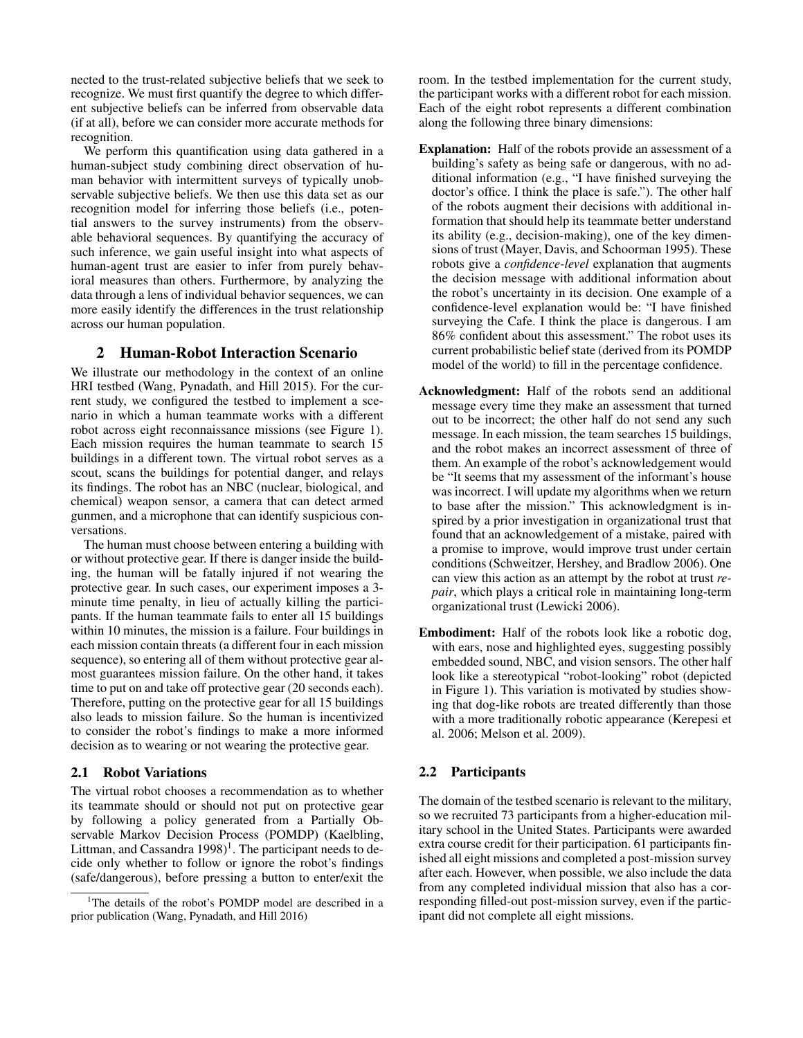nected to the trust-related subjective beliefs that we seek to recognize. We must first quantify the degree to which different subjective beliefs can be inferred from observable data (if at all), before we can consider more accurate methods for recognition.

We perform this quantification using data gathered in a human-subject study combining direct observation of human behavior with intermittent surveys of typically unobservable subjective beliefs. We then use this data set as our recognition model for inferring those beliefs (i.e., potential answers to the survey instruments) from the observable behavioral sequences. By quantifying the accuracy of such inference, we gain useful insight into what aspects of human-agent trust are easier to infer from purely behavioral measures than others. Furthermore, by analyzing the data through a lens of individual behavior sequences, we can more easily identify the differences in the trust relationship across our human population.

## 2 Human-Robot Interaction Scenario

We illustrate our methodology in the context of an online HRI testbed (Wang, Pynadath, and Hill 2015). For the current study, we configured the testbed to implement a scenario in which a human teammate works with a different robot across eight reconnaissance missions (see Figure 1). Each mission requires the human teammate to search 15 buildings in a different town. The virtual robot serves as a scout, scans the buildings for potential danger, and relays its findings. The robot has an NBC (nuclear, biological, and chemical) weapon sensor, a camera that can detect armed gunmen, and a microphone that can identify suspicious conversations.

The human must choose between entering a building with or without protective gear. If there is danger inside the building, the human will be fatally injured if not wearing the protective gear. In such cases, our experiment imposes a 3 minute time penalty, in lieu of actually killing the participants. If the human teammate fails to enter all 15 buildings within 10 minutes, the mission is a failure. Four buildings in each mission contain threats (a different four in each mission sequence), so entering all of them without protective gear almost guarantees mission failure. On the other hand, it takes time to put on and take off protective gear (20 seconds each). Therefore, putting on the protective gear for all 15 buildings also leads to mission failure. So the human is incentivized to consider the robot's findings to make a more informed decision as to wearing or not wearing the protective gear.

#### 2.1 Robot Variations

The virtual robot chooses a recommendation as to whether its teammate should or should not put on protective gear by following a policy generated from a Partially Observable Markov Decision Process (POMDP) (Kaelbling, Littman, and Cassandra  $1998$ <sup>1</sup>. The participant needs to decide only whether to follow or ignore the robot's findings (safe/dangerous), before pressing a button to enter/exit the room. In the testbed implementation for the current study, the participant works with a different robot for each mission. Each of the eight robot represents a different combination along the following three binary dimensions:

- Explanation: Half of the robots provide an assessment of a building's safety as being safe or dangerous, with no additional information (e.g., "I have finished surveying the doctor's office. I think the place is safe."). The other half of the robots augment their decisions with additional information that should help its teammate better understand its ability (e.g., decision-making), one of the key dimensions of trust (Mayer, Davis, and Schoorman 1995). These robots give a *confidence-level* explanation that augments the decision message with additional information about the robot's uncertainty in its decision. One example of a confidence-level explanation would be: "I have finished surveying the Cafe. I think the place is dangerous. I am 86% confident about this assessment." The robot uses its current probabilistic belief state (derived from its POMDP model of the world) to fill in the percentage confidence.
- Acknowledgment: Half of the robots send an additional message every time they make an assessment that turned out to be incorrect; the other half do not send any such message. In each mission, the team searches 15 buildings, and the robot makes an incorrect assessment of three of them. An example of the robot's acknowledgement would be "It seems that my assessment of the informant's house was incorrect. I will update my algorithms when we return to base after the mission." This acknowledgment is inspired by a prior investigation in organizational trust that found that an acknowledgement of a mistake, paired with a promise to improve, would improve trust under certain conditions (Schweitzer, Hershey, and Bradlow 2006). One can view this action as an attempt by the robot at trust *repair*, which plays a critical role in maintaining long-term organizational trust (Lewicki 2006).
- Embodiment: Half of the robots look like a robotic dog, with ears, nose and highlighted eyes, suggesting possibly embedded sound, NBC, and vision sensors. The other half look like a stereotypical "robot-looking" robot (depicted in Figure 1). This variation is motivated by studies showing that dog-like robots are treated differently than those with a more traditionally robotic appearance (Kerepesi et al. 2006; Melson et al. 2009).

# 2.2 Participants

The domain of the testbed scenario is relevant to the military, so we recruited 73 participants from a higher-education military school in the United States. Participants were awarded extra course credit for their participation. 61 participants finished all eight missions and completed a post-mission survey after each. However, when possible, we also include the data from any completed individual mission that also has a corresponding filled-out post-mission survey, even if the participant did not complete all eight missions.

<sup>&</sup>lt;sup>1</sup>The details of the robot's POMDP model are described in a prior publication (Wang, Pynadath, and Hill 2016)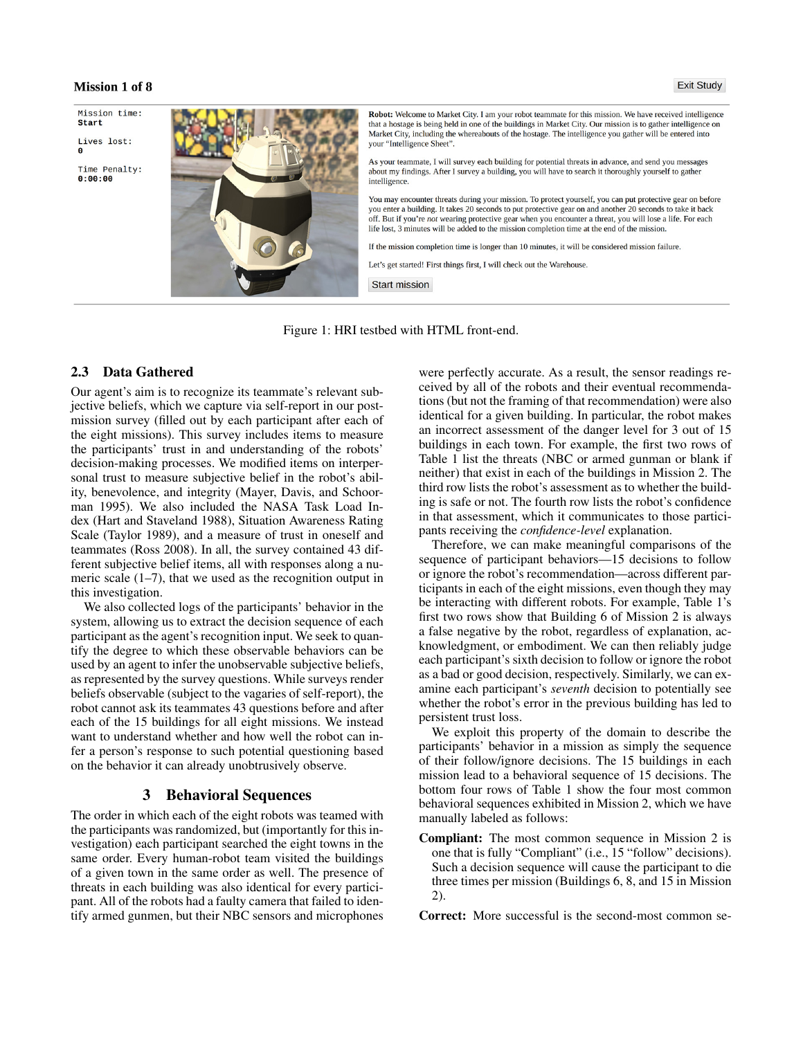#### **Mission 1 of 8**

Mission time: **Start** 

Lives lost:

Time Penalty:  $0:00:00$ 



Robot: Welcome to Market City. I am your robot teammate for this mission. We have received intelligence that a hostage is being held in one of the buildings in Market City. Our mission is to gather intelligence on Market City, including the whereabouts of the hostage. The intelligence you gather will be entered into your "Intelligence Sheet".

As your teammate, I will survey each building for potential threats in advance, and send you messages about my findings. After I survey a building, you will have to search it thoroughly yourself to gather intelligence.

You may encounter threats during your mission. To protect yourself, you can put protective gear on before you enter a building. It takes 20 seconds to put protective gear on and another 20 seconds to take it back off. But if you're not wearing protective gear when you encounter a threat, you will lose a life. For each life lost, 3 minutes will be added to the mission completion time at the end of the mission.

If the mission completion time is longer than 10 minutes, it will be considered mission failure.

Let's get started! First things first, I will check out the Warehouse.

**Start mission** 

Figure 1: HRI testbed with HTML front-end.

# 2.3 Data Gathered

Our agent's aim is to recognize its teammate's relevant subjective beliefs, which we capture via self-report in our postmission survey (filled out by each participant after each of the eight missions). This survey includes items to measure the participants' trust in and understanding of the robots' decision-making processes. We modified items on interpersonal trust to measure subjective belief in the robot's ability, benevolence, and integrity (Mayer, Davis, and Schoorman 1995). We also included the NASA Task Load Index (Hart and Staveland 1988), Situation Awareness Rating Scale (Taylor 1989), and a measure of trust in oneself and teammates (Ross 2008). In all, the survey contained 43 different subjective belief items, all with responses along a numeric scale (1–7), that we used as the recognition output in this investigation.

We also collected logs of the participants' behavior in the system, allowing us to extract the decision sequence of each participant as the agent's recognition input. We seek to quantify the degree to which these observable behaviors can be used by an agent to infer the unobservable subjective beliefs, as represented by the survey questions. While surveys render beliefs observable (subject to the vagaries of self-report), the robot cannot ask its teammates 43 questions before and after each of the 15 buildings for all eight missions. We instead want to understand whether and how well the robot can infer a person's response to such potential questioning based on the behavior it can already unobtrusively observe.

### 3 Behavioral Sequences

The order in which each of the eight robots was teamed with the participants was randomized, but (importantly for this investigation) each participant searched the eight towns in the same order. Every human-robot team visited the buildings of a given town in the same order as well. The presence of threats in each building was also identical for every participant. All of the robots had a faulty camera that failed to identify armed gunmen, but their NBC sensors and microphones

were perfectly accurate. As a result, the sensor readings received by all of the robots and their eventual recommendations (but not the framing of that recommendation) were also identical for a given building. In particular, the robot makes an incorrect assessment of the danger level for 3 out of 15 buildings in each town. For example, the first two rows of Table 1 list the threats (NBC or armed gunman or blank if neither) that exist in each of the buildings in Mission 2. The third row lists the robot's assessment as to whether the building is safe or not. The fourth row lists the robot's confidence in that assessment, which it communicates to those participants receiving the *confidence-level* explanation.

Therefore, we can make meaningful comparisons of the sequence of participant behaviors—15 decisions to follow or ignore the robot's recommendation—across different participants in each of the eight missions, even though they may be interacting with different robots. For example, Table 1's first two rows show that Building 6 of Mission 2 is always a false negative by the robot, regardless of explanation, acknowledgment, or embodiment. We can then reliably judge each participant's sixth decision to follow or ignore the robot as a bad or good decision, respectively. Similarly, we can examine each participant's *seventh* decision to potentially see whether the robot's error in the previous building has led to persistent trust loss.

We exploit this property of the domain to describe the participants' behavior in a mission as simply the sequence of their follow/ignore decisions. The 15 buildings in each mission lead to a behavioral sequence of 15 decisions. The bottom four rows of Table 1 show the four most common behavioral sequences exhibited in Mission 2, which we have manually labeled as follows:

Compliant: The most common sequence in Mission 2 is one that is fully "Compliant" (i.e., 15 "follow" decisions). Such a decision sequence will cause the participant to die three times per mission (Buildings 6, 8, and 15 in Mission 2).

Correct: More successful is the second-most common se-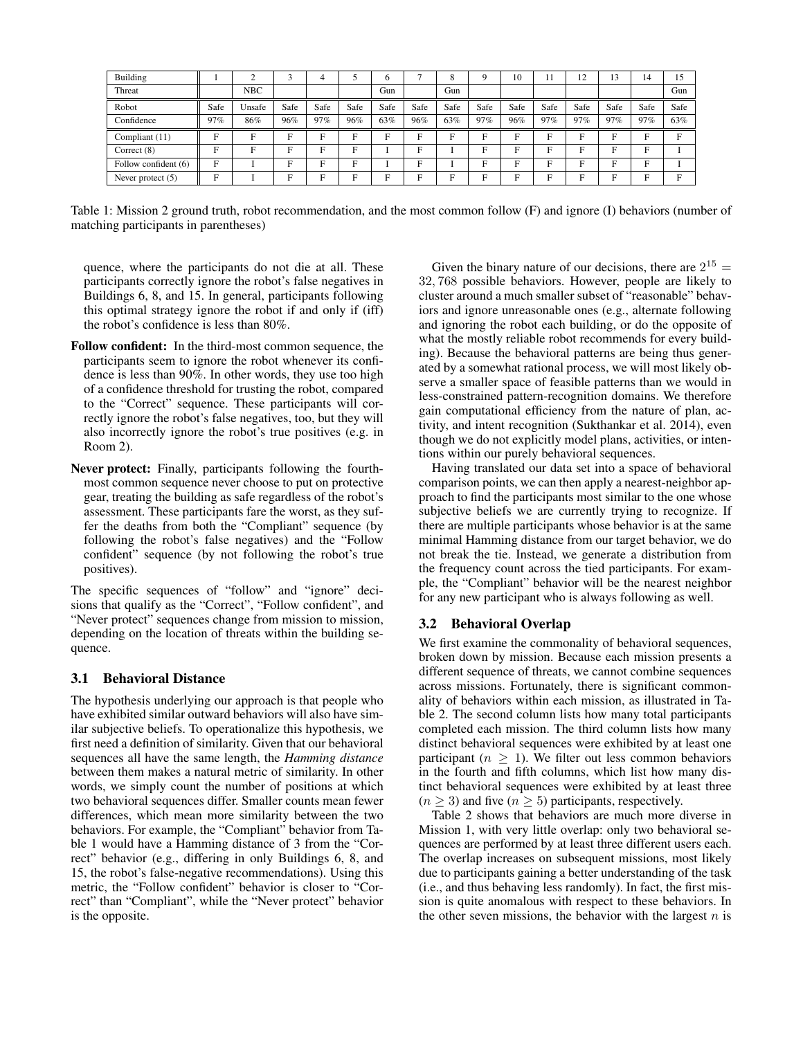| Building             |      | $\sim$     |      |      |      | h    |      | δ    | a    | 10   | 11   | 12   | 13   | 14   | 15   |
|----------------------|------|------------|------|------|------|------|------|------|------|------|------|------|------|------|------|
| Threat               |      | <b>NBC</b> |      |      |      | Gun  |      | Gun  |      |      |      |      |      |      | Gun  |
| Robot                | Safe | Unsafe     | Safe | Safe | Safe | Safe | Safe | Safe | Safe | Safe | Safe | Safe | Safe | Safe | Safe |
| Confidence           | 97%  | 86%        | 96%  | 97%  | 96%  | 63%  | 96%  | 63%  | 97%  | 96%  | 97%  | 97%  | 97%  | 97%  | 63%  |
| Compliant (11)       | E    | Е          | Е    | E    | E    | E    | Е    | E.   | Е    | E    | E    | Е    | E.   | E    | E    |
| Correct $(8)$        | Ħ    | F          | Е    | E    | F    |      | Е    |      | Е    | E    | Е    | F    | F    | F    |      |
| Follow confident (6) | E    |            | E.   | E    | F    |      | Е    |      | Е    | F    | Е    | F    | F    | F    |      |
| Never protect $(5)$  | E    |            | Е    | Е    | E    | F    | E    | E    | E    | Е    | Е    | Е    | E    | E    | E    |

Table 1: Mission 2 ground truth, robot recommendation, and the most common follow (F) and ignore (I) behaviors (number of matching participants in parentheses)

quence, where the participants do not die at all. These participants correctly ignore the robot's false negatives in Buildings 6, 8, and 15. In general, participants following this optimal strategy ignore the robot if and only if (iff) the robot's confidence is less than 80%.

- Follow confident: In the third-most common sequence, the participants seem to ignore the robot whenever its confidence is less than 90%. In other words, they use too high of a confidence threshold for trusting the robot, compared to the "Correct" sequence. These participants will correctly ignore the robot's false negatives, too, but they will also incorrectly ignore the robot's true positives (e.g. in Room 2).
- Never protect: Finally, participants following the fourthmost common sequence never choose to put on protective gear, treating the building as safe regardless of the robot's assessment. These participants fare the worst, as they suffer the deaths from both the "Compliant" sequence (by following the robot's false negatives) and the "Follow confident" sequence (by not following the robot's true positives).

The specific sequences of "follow" and "ignore" decisions that qualify as the "Correct", "Follow confident", and "Never protect" sequences change from mission to mission, depending on the location of threats within the building sequence.

#### 3.1 Behavioral Distance

The hypothesis underlying our approach is that people who have exhibited similar outward behaviors will also have similar subjective beliefs. To operationalize this hypothesis, we first need a definition of similarity. Given that our behavioral sequences all have the same length, the *Hamming distance* between them makes a natural metric of similarity. In other words, we simply count the number of positions at which two behavioral sequences differ. Smaller counts mean fewer differences, which mean more similarity between the two behaviors. For example, the "Compliant" behavior from Table 1 would have a Hamming distance of 3 from the "Correct" behavior (e.g., differing in only Buildings 6, 8, and 15, the robot's false-negative recommendations). Using this metric, the "Follow confident" behavior is closer to "Correct" than "Compliant", while the "Never protect" behavior is the opposite.

Given the binary nature of our decisions, there are  $2^{15}$  = 32, 768 possible behaviors. However, people are likely to cluster around a much smaller subset of "reasonable" behaviors and ignore unreasonable ones (e.g., alternate following and ignoring the robot each building, or do the opposite of what the mostly reliable robot recommends for every building). Because the behavioral patterns are being thus generated by a somewhat rational process, we will most likely observe a smaller space of feasible patterns than we would in less-constrained pattern-recognition domains. We therefore gain computational efficiency from the nature of plan, activity, and intent recognition (Sukthankar et al. 2014), even though we do not explicitly model plans, activities, or intentions within our purely behavioral sequences.

Having translated our data set into a space of behavioral comparison points, we can then apply a nearest-neighbor approach to find the participants most similar to the one whose subjective beliefs we are currently trying to recognize. If there are multiple participants whose behavior is at the same minimal Hamming distance from our target behavior, we do not break the tie. Instead, we generate a distribution from the frequency count across the tied participants. For example, the "Compliant" behavior will be the nearest neighbor for any new participant who is always following as well.

#### 3.2 Behavioral Overlap

We first examine the commonality of behavioral sequences, broken down by mission. Because each mission presents a different sequence of threats, we cannot combine sequences across missions. Fortunately, there is significant commonality of behaviors within each mission, as illustrated in Table 2. The second column lists how many total participants completed each mission. The third column lists how many distinct behavioral sequences were exhibited by at least one participant ( $n \geq 1$ ). We filter out less common behaviors in the fourth and fifth columns, which list how many distinct behavioral sequences were exhibited by at least three  $(n \geq 3)$  and five  $(n \geq 5)$  participants, respectively.

Table 2 shows that behaviors are much more diverse in Mission 1, with very little overlap: only two behavioral sequences are performed by at least three different users each. The overlap increases on subsequent missions, most likely due to participants gaining a better understanding of the task (i.e., and thus behaving less randomly). In fact, the first mission is quite anomalous with respect to these behaviors. In the other seven missions, the behavior with the largest  $n$  is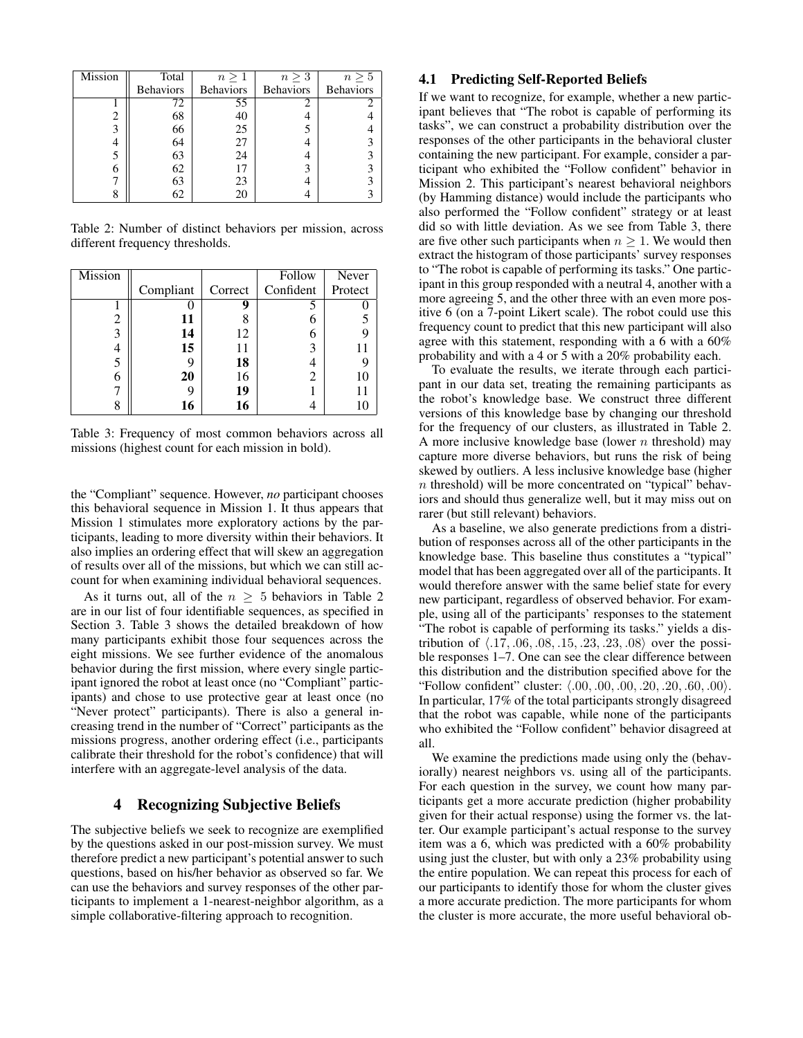| Mission | Total            | $n\geq 1$        | $n \geq 3$       | $n\geq 5$        |
|---------|------------------|------------------|------------------|------------------|
|         | <b>Behaviors</b> | <b>Behaviors</b> | <b>Behaviors</b> | <b>Behaviors</b> |
|         | 72               | 55               |                  |                  |
|         | 68               | 40               |                  |                  |
| 3       | 66               | 25               |                  |                  |
|         | 64               | 27               |                  | 3                |
|         | 63               | 24               |                  |                  |
|         | 62               | 17               |                  | 3                |
|         | 63               | 23               |                  | ٩                |
|         | 62               | 20               |                  |                  |

Table 2: Number of distinct behaviors per mission, across different frequency thresholds.

| <b>Mission</b> |           |         | Follow    | Never   |
|----------------|-----------|---------|-----------|---------|
|                | Compliant | Correct | Confident | Protect |
|                |           |         |           |         |
| 2              | 11        |         |           |         |
| 3              | 14        | 12      |           |         |
|                | 15        | 11      | 3         | 11      |
|                |           | 18      |           |         |
| 6              | 20        | 16      |           | 10      |
|                |           | 19      |           | 11      |
|                | 16        | 16      |           | 10      |

Table 3: Frequency of most common behaviors across all missions (highest count for each mission in bold).

the "Compliant" sequence. However, *no* participant chooses this behavioral sequence in Mission 1. It thus appears that Mission 1 stimulates more exploratory actions by the participants, leading to more diversity within their behaviors. It also implies an ordering effect that will skew an aggregation of results over all of the missions, but which we can still account for when examining individual behavioral sequences.

As it turns out, all of the  $n \geq 5$  behaviors in Table 2 are in our list of four identifiable sequences, as specified in Section 3. Table 3 shows the detailed breakdown of how many participants exhibit those four sequences across the eight missions. We see further evidence of the anomalous behavior during the first mission, where every single participant ignored the robot at least once (no "Compliant" participants) and chose to use protective gear at least once (no "Never protect" participants). There is also a general increasing trend in the number of "Correct" participants as the missions progress, another ordering effect (i.e., participants calibrate their threshold for the robot's confidence) that will interfere with an aggregate-level analysis of the data.

# 4 Recognizing Subjective Beliefs

The subjective beliefs we seek to recognize are exemplified by the questions asked in our post-mission survey. We must therefore predict a new participant's potential answer to such questions, based on his/her behavior as observed so far. We can use the behaviors and survey responses of the other participants to implement a 1-nearest-neighbor algorithm, as a simple collaborative-filtering approach to recognition.

#### 4.1 Predicting Self-Reported Beliefs

If we want to recognize, for example, whether a new participant believes that "The robot is capable of performing its tasks", we can construct a probability distribution over the responses of the other participants in the behavioral cluster containing the new participant. For example, consider a participant who exhibited the "Follow confident" behavior in Mission 2. This participant's nearest behavioral neighbors (by Hamming distance) would include the participants who also performed the "Follow confident" strategy or at least did so with little deviation. As we see from Table 3, there are five other such participants when  $n \geq 1$ . We would then extract the histogram of those participants' survey responses to "The robot is capable of performing its tasks." One participant in this group responded with a neutral 4, another with a more agreeing 5, and the other three with an even more positive 6 (on a 7-point Likert scale). The robot could use this frequency count to predict that this new participant will also agree with this statement, responding with a 6 with a 60% probability and with a 4 or 5 with a 20% probability each.

To evaluate the results, we iterate through each participant in our data set, treating the remaining participants as the robot's knowledge base. We construct three different versions of this knowledge base by changing our threshold for the frequency of our clusters, as illustrated in Table 2. A more inclusive knowledge base (lower  $n$  threshold) may capture more diverse behaviors, but runs the risk of being skewed by outliers. A less inclusive knowledge base (higher  $n$  threshold) will be more concentrated on "typical" behaviors and should thus generalize well, but it may miss out on rarer (but still relevant) behaviors.

As a baseline, we also generate predictions from a distribution of responses across all of the other participants in the knowledge base. This baseline thus constitutes a "typical" model that has been aggregated over all of the participants. It would therefore answer with the same belief state for every new participant, regardless of observed behavior. For example, using all of the participants' responses to the statement "The robot is capable of performing its tasks." yields a distribution of  $\langle .17, .06, .08, .15, .23, .23, .08 \rangle$  over the possible responses 1–7. One can see the clear difference between this distribution and the distribution specified above for the "Follow confident" cluster:  $\langle .00, .00, .00, .20, .20, .60, .00 \rangle$ . In particular, 17% of the total participants strongly disagreed that the robot was capable, while none of the participants who exhibited the "Follow confident" behavior disagreed at all.

We examine the predictions made using only the (behaviorally) nearest neighbors vs. using all of the participants. For each question in the survey, we count how many participants get a more accurate prediction (higher probability given for their actual response) using the former vs. the latter. Our example participant's actual response to the survey item was a 6, which was predicted with a 60% probability using just the cluster, but with only a 23% probability using the entire population. We can repeat this process for each of our participants to identify those for whom the cluster gives a more accurate prediction. The more participants for whom the cluster is more accurate, the more useful behavioral ob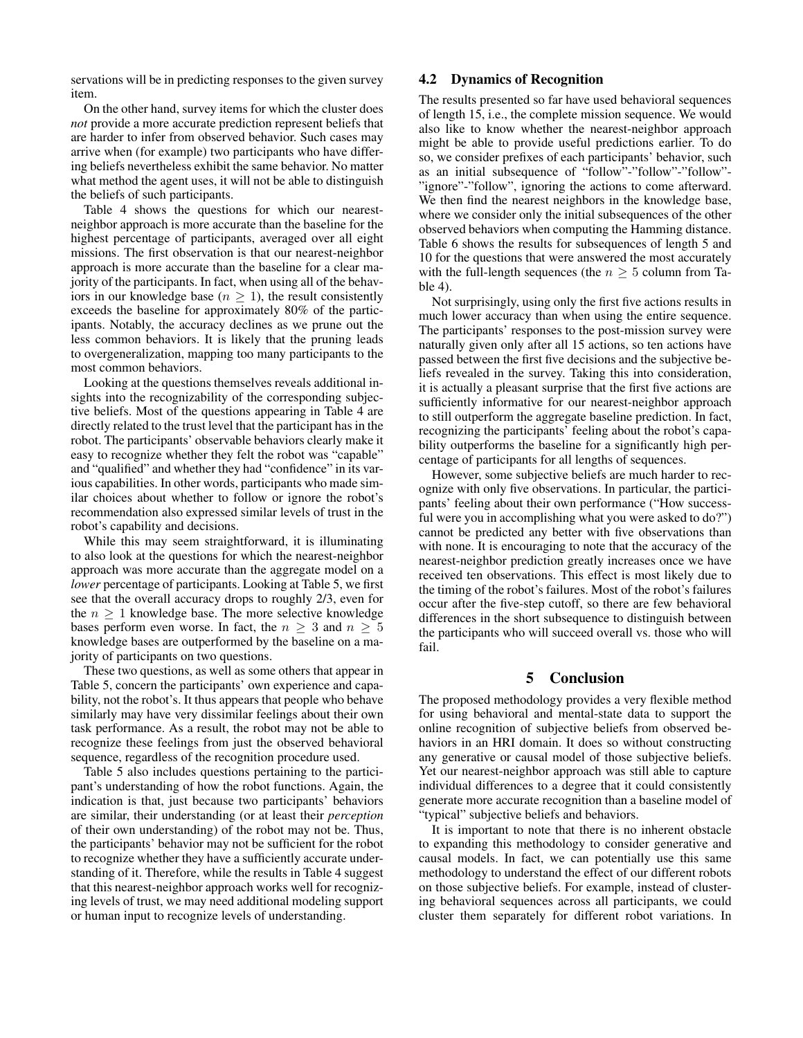servations will be in predicting responses to the given survey item.

On the other hand, survey items for which the cluster does *not* provide a more accurate prediction represent beliefs that are harder to infer from observed behavior. Such cases may arrive when (for example) two participants who have differing beliefs nevertheless exhibit the same behavior. No matter what method the agent uses, it will not be able to distinguish the beliefs of such participants.

Table 4 shows the questions for which our nearestneighbor approach is more accurate than the baseline for the highest percentage of participants, averaged over all eight missions. The first observation is that our nearest-neighbor approach is more accurate than the baseline for a clear majority of the participants. In fact, when using all of the behaviors in our knowledge base ( $n \geq 1$ ), the result consistently exceeds the baseline for approximately 80% of the participants. Notably, the accuracy declines as we prune out the less common behaviors. It is likely that the pruning leads to overgeneralization, mapping too many participants to the most common behaviors.

Looking at the questions themselves reveals additional insights into the recognizability of the corresponding subjective beliefs. Most of the questions appearing in Table 4 are directly related to the trust level that the participant has in the robot. The participants' observable behaviors clearly make it easy to recognize whether they felt the robot was "capable" and "qualified" and whether they had "confidence" in its various capabilities. In other words, participants who made similar choices about whether to follow or ignore the robot's recommendation also expressed similar levels of trust in the robot's capability and decisions.

While this may seem straightforward, it is illuminating to also look at the questions for which the nearest-neighbor approach was more accurate than the aggregate model on a *lower* percentage of participants. Looking at Table 5, we first see that the overall accuracy drops to roughly 2/3, even for the  $n \geq 1$  knowledge base. The more selective knowledge bases perform even worse. In fact, the  $n \geq 3$  and  $n \geq 5$ knowledge bases are outperformed by the baseline on a majority of participants on two questions.

These two questions, as well as some others that appear in Table 5, concern the participants' own experience and capability, not the robot's. It thus appears that people who behave similarly may have very dissimilar feelings about their own task performance. As a result, the robot may not be able to recognize these feelings from just the observed behavioral sequence, regardless of the recognition procedure used.

Table 5 also includes questions pertaining to the participant's understanding of how the robot functions. Again, the indication is that, just because two participants' behaviors are similar, their understanding (or at least their *perception* of their own understanding) of the robot may not be. Thus, the participants' behavior may not be sufficient for the robot to recognize whether they have a sufficiently accurate understanding of it. Therefore, while the results in Table 4 suggest that this nearest-neighbor approach works well for recognizing levels of trust, we may need additional modeling support or human input to recognize levels of understanding.

# 4.2 Dynamics of Recognition

The results presented so far have used behavioral sequences of length 15, i.e., the complete mission sequence. We would also like to know whether the nearest-neighbor approach might be able to provide useful predictions earlier. To do so, we consider prefixes of each participants' behavior, such as an initial subsequence of "follow"-"follow"-"follow"- "ignore"-"follow", ignoring the actions to come afterward. We then find the nearest neighbors in the knowledge base, where we consider only the initial subsequences of the other observed behaviors when computing the Hamming distance. Table 6 shows the results for subsequences of length 5 and 10 for the questions that were answered the most accurately with the full-length sequences (the  $n \geq 5$  column from Table 4).

Not surprisingly, using only the first five actions results in much lower accuracy than when using the entire sequence. The participants' responses to the post-mission survey were naturally given only after all 15 actions, so ten actions have passed between the first five decisions and the subjective beliefs revealed in the survey. Taking this into consideration, it is actually a pleasant surprise that the first five actions are sufficiently informative for our nearest-neighbor approach to still outperform the aggregate baseline prediction. In fact, recognizing the participants' feeling about the robot's capability outperforms the baseline for a significantly high percentage of participants for all lengths of sequences.

However, some subjective beliefs are much harder to recognize with only five observations. In particular, the participants' feeling about their own performance ("How successful were you in accomplishing what you were asked to do?") cannot be predicted any better with five observations than with none. It is encouraging to note that the accuracy of the nearest-neighbor prediction greatly increases once we have received ten observations. This effect is most likely due to the timing of the robot's failures. Most of the robot's failures occur after the five-step cutoff, so there are few behavioral differences in the short subsequence to distinguish between the participants who will succeed overall vs. those who will fail.

#### 5 Conclusion

The proposed methodology provides a very flexible method for using behavioral and mental-state data to support the online recognition of subjective beliefs from observed behaviors in an HRI domain. It does so without constructing any generative or causal model of those subjective beliefs. Yet our nearest-neighbor approach was still able to capture individual differences to a degree that it could consistently generate more accurate recognition than a baseline model of "typical" subjective beliefs and behaviors.

It is important to note that there is no inherent obstacle to expanding this methodology to consider generative and causal models. In fact, we can potentially use this same methodology to understand the effect of our different robots on those subjective beliefs. For example, instead of clustering behavioral sequences across all participants, we could cluster them separately for different robot variations. In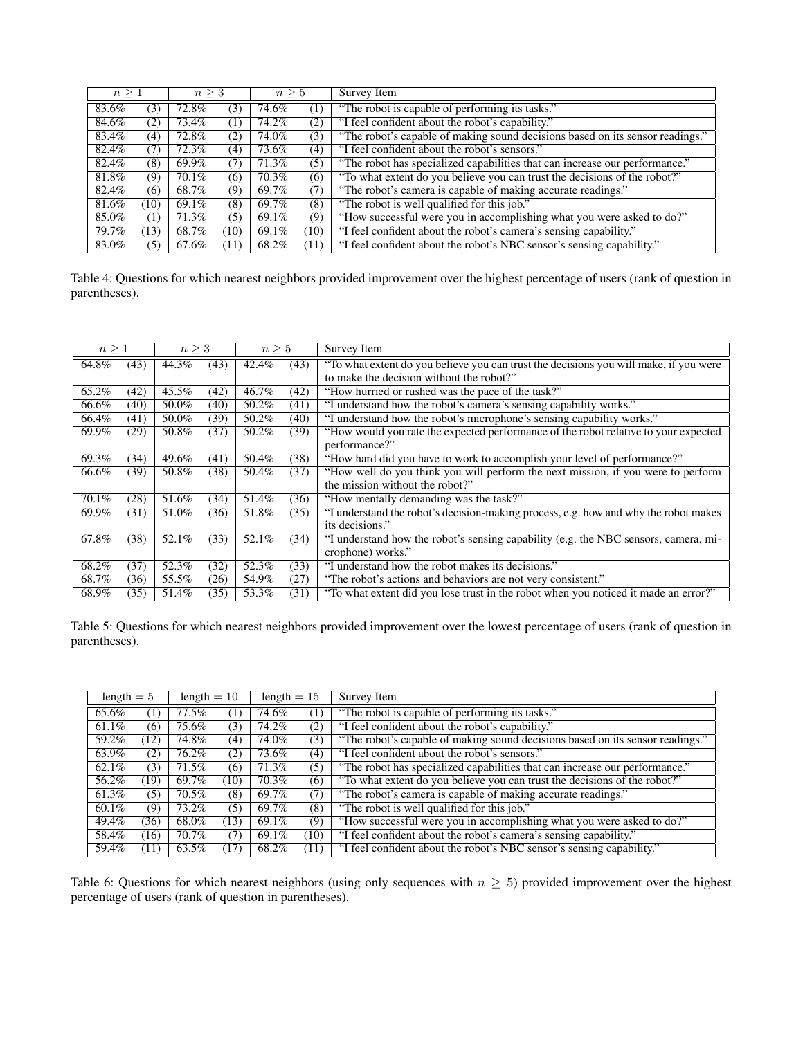|       | $n \geq 1$<br>$n \geq 3$<br>$n \geq 5$ |       |      | Survey Item |      |                                                                               |
|-------|----------------------------------------|-------|------|-------------|------|-------------------------------------------------------------------------------|
| 83.6% | (3)                                    | 72.8% | (3)  | 74.6%       | Ί)   | "The robot is capable of performing its tasks."                               |
| 84.6% | (2)                                    | 73.4% | (1)  | 74.2%       | (2)  | "I feel confident about the robot's capability."                              |
| 83.4% | (4)                                    | 72.8% | (2)  | 74.0%       | (3)  | "The robot's capable of making sound decisions based on its sensor readings." |
| 82.4% | (7)                                    | 72.3% | (4)  | 73.6%       | (4)  | "I feel confident about the robot's sensors."                                 |
| 82.4% | (8)                                    | 69.9% | (7)  | 71.3%       | (5)  | "The robot has specialized capabilities that can increase our performance."   |
| 81.8% | (9)                                    | 70.1% | (6)  | 70.3%       | (6)  | "To what extent do you believe you can trust the decisions of the robot?"     |
| 82.4% | (6)                                    | 68.7% | (9)  | 69.7%       | (7)  | "The robot's camera is capable of making accurate readings."                  |
| 81.6% | (10)                                   | 69.1% | (8)  | 69.7%       | (8)  | "The robot is well qualified for this job."                                   |
| 85.0% | $\left(1\right)$                       | 71.3% | (5)  | 69.1%       | (9)  | "How successful were you in accomplishing what you were asked to do?"         |
| 79.7% | (13)                                   | 68.7% | (10) | 69.1%       | (10) | "I feel confident about the robot's camera's sensing capability."             |
| 83.0% | (5)                                    | 67.6% | (11) | 68.2%       | (11) | "I feel confident about the robot's NBC sensor's sensing capability."         |

Table 4: Questions for which nearest neighbors provided improvement over the highest percentage of users (rank of question in parentheses).

| $n \geq 1$ |      | $n\geq 3$ |      | $n \geq 5$ |      | <b>Survey Item</b>                                                                    |
|------------|------|-----------|------|------------|------|---------------------------------------------------------------------------------------|
| 64.8%      | (43) | 44.3%     | (43) | 42.4%      | (43) | "To what extent do you believe you can trust the decisions you will make, if you were |
|            |      |           |      |            |      | to make the decision without the robot?"                                              |
| 65.2%      | (42) | 45.5%     | (42) | 46.7%      | (42) | "How hurried or rushed was the pace of the task?"                                     |
| 66.6%      | (40) | 50.0%     | (40) | 50.2%      | (41) | "I understand how the robot's camera's sensing capability works."                     |
| 66.4%      | (41) | 50.0%     | (39) | 50.2%      | (40) | "I understand how the robot's microphone's sensing capability works."                 |
| 69.9%      | (29) | 50.8%     | (37) | 50.2%      | (39) | "How would you rate the expected performance of the robot relative to your expected   |
|            |      |           |      |            |      | performance?"                                                                         |
| 69.3%      | (34) | 49.6%     | (41) | 50.4%      | (38) | "How hard did you have to work to accomplish your level of performance?"              |
| 66.6%      | (39) | 50.8%     | (38) | 50.4%      | (37) | "How well do you think you will perform the next mission, if you were to perform      |
|            |      |           |      |            |      | the mission without the robot?"                                                       |
| 70.1%      | (28) | 51.6%     | (34) | 51.4%      | (36) | "How mentally demanding was the task?"                                                |
| 69.9%      | (31) | 51.0%     | (36) | 51.8%      | (35) | "I understand the robot's decision-making process, e.g. how and why the robot makes   |
|            |      |           |      |            |      | its decisions."                                                                       |
| 67.8%      | (38) | 52.1%     | (33) | 52.1%      | (34) | "I understand how the robot's sensing capability (e.g. the NBC sensors, camera, mi-   |
|            |      |           |      |            |      | crophone) works."                                                                     |
| 68.2%      | (37) | 52.3%     | (32) | 52.3%      | (33) | "I understand how the robot makes its decisions."                                     |
| 68.7%      | (36) | 55.5%     | (26) | 54.9%      | (27) | "The robot's actions and behaviors are not very consistent."                          |
| 68.9%      | (35) | 51.4%     | (35) | 53.3%      | (31) | "To what extent did you lose trust in the robot when you noticed it made an error?"   |

Table 5: Questions for which nearest neighbors provided improvement over the lowest percentage of users (rank of question in parentheses).

| length $= 5$ |      | length $= 10$ |                     | length $= 15$ |                  | Survey Item                                                                   |
|--------------|------|---------------|---------------------|---------------|------------------|-------------------------------------------------------------------------------|
| 65.6%        | (1)  | 77.5%         | $\scriptstyle{(1)}$ | 74.6%         | $\left(1\right)$ | "The robot is capable of performing its tasks."                               |
| 61.1%        | (6)  | 75.6%         | (3)                 | 74.2%         | (2)              | "I feel confident about the robot's capability."                              |
| 59.2%        | (12) | 74.8%         | (4)                 | 74.0%         | (3)              | "The robot's capable of making sound decisions based on its sensor readings." |
| 63.9%        | (2)  | 76.2%         | (2)                 | 73.6%         | (4)              | "I feel confident about the robot's sensors."                                 |
| 62.1%        | (3)  | 71.5%         | (6)                 | 71.3%         | (5)              | "The robot has specialized capabilities that can increase our performance."   |
| 56.2%        | (19) | 69.7%         | (10)                | 70.3%         | (6)              | "To what extent do you believe you can trust the decisions of the robot?"     |
| 61.3%        | (5)  | $70.5\%$      | (8)                 | 69.7%         | (7)              | "The robot's camera is capable of making accurate readings."                  |
| $60.1\%$     | (9)  | 73.2%         | (5)                 | 69.7%         | (8)              | "The robot is well qualified for this job."                                   |
| 49.4%        | (36) | 68.0%         | (13)                | 69.1%         | (9)              | "How successful were you in accomplishing what you were asked to do?"         |
| 58.4%        | (16) | 70.7%         | (7)                 | 69.1%         | (10)             | "I feel confident about the robot's camera's sensing capability."             |
| 59.4%        | (11) | 63.5%         | (17)                | 68.2%         | (11)             | "I feel confident about the robot's NBC sensor's sensing capability."         |

Table 6: Questions for which nearest neighbors (using only sequences with  $n \geq 5$ ) provided improvement over the highest percentage of users (rank of question in parentheses).